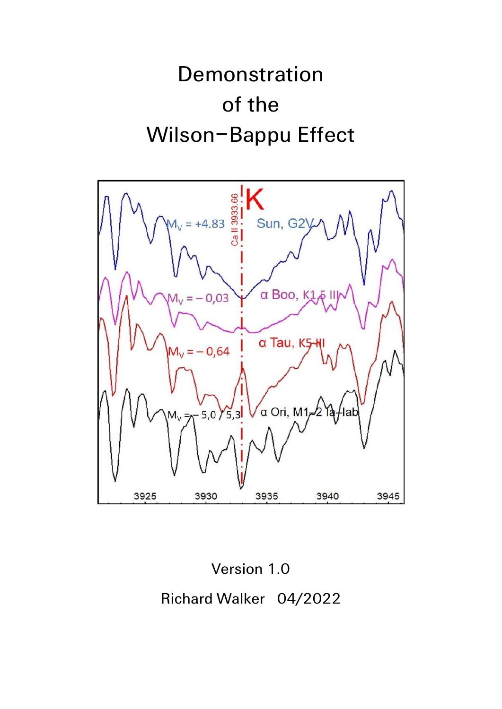# Demonstration of the Wilson–Bappu Effect



Version 1.0 Richard Walker 04/2022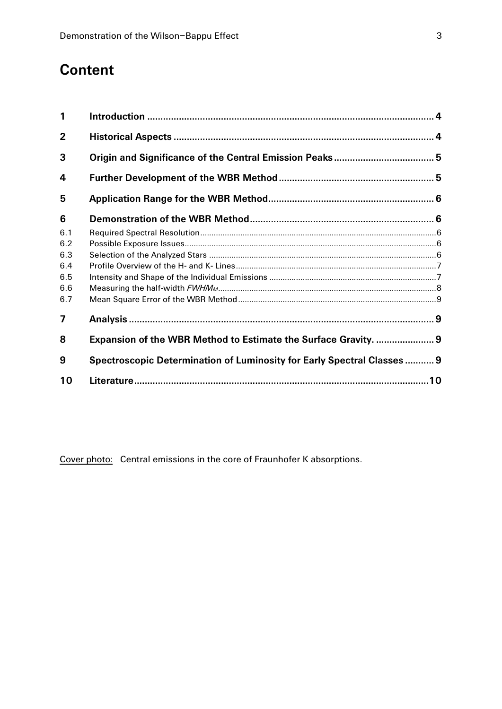# **Content**

| 1              |                                                                         |  |
|----------------|-------------------------------------------------------------------------|--|
| $\overline{2}$ |                                                                         |  |
| 3              |                                                                         |  |
| 4              |                                                                         |  |
| 5              |                                                                         |  |
| 6              |                                                                         |  |
| 6.1            |                                                                         |  |
| 6.2            |                                                                         |  |
| 6.3            |                                                                         |  |
| 6.4            |                                                                         |  |
| 6.5            |                                                                         |  |
| 6.6            |                                                                         |  |
| 6.7            |                                                                         |  |
| $\overline{7}$ |                                                                         |  |
| 8              | Expansion of the WBR Method to Estimate the Surface Gravity.  9         |  |
| 9              | Spectroscopic Determination of Luminosity for Early Spectral Classes  9 |  |
| 10             |                                                                         |  |

Cover photo: Central emissions in the core of Fraunhofer K absorptions.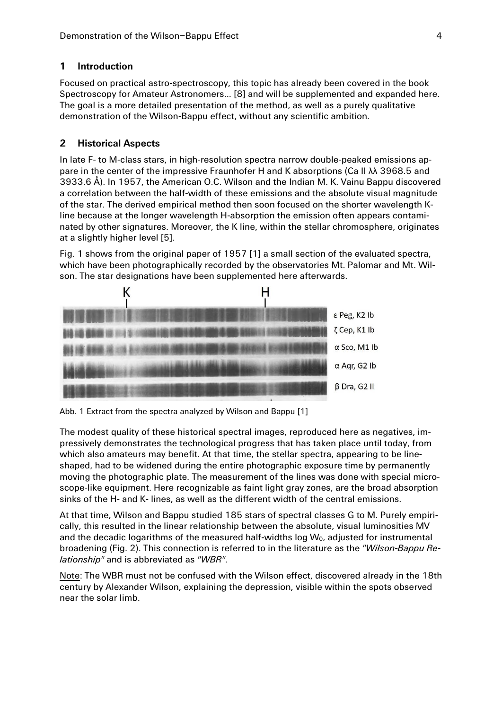# **1 Introduction**

Focused on practical astro-spectroscopy, this topic has already been covered in the book Spectroscopy for Amateur Astronomers... [8] and will be supplemented and expanded here. The goal is a more detailed presentation of the method, as well as a purely qualitative demonstration of the Wilson-Bappu effect, without any scientific ambition.

# **2 Historical Aspects**

In late F- to M-class stars, in high-resolution spectra narrow double-peaked emissions appare in the center of the impressive Fraunhofer H and K absorptions (Ca II λλ 3968.5 and 3933.6 Å). In 1957, the American O.C. Wilson and the Indian M. K. Vainu Bappu discovered a correlation between the half-width of these emissions and the absolute visual magnitude of the star. The derived empirical method then soon focused on the shorter wavelength Kline because at the longer wavelength H-absorption the emission often appears contaminated by other signatures. Moreover, the K line, within the stellar chromosphere, originates at a slightly higher level [5].

Fig. 1 shows from the original paper of 1957 [1] a small section of the evaluated spectra, which have been photographically recorded by the observatories Mt. Palomar and Mt. Wilson. The star designations have been supplemented here afterwards.



Abb. 1 Extract from the spectra analyzed by Wilson and Bappu [1]

The modest quality of these historical spectral images, reproduced here as negatives, impressively demonstrates the technological progress that has taken place until today, from which also amateurs may benefit. At that time, the stellar spectra, appearing to be lineshaped, had to be widened during the entire photographic exposure time by permanently moving the photographic plate. The measurement of the lines was done with special microscope-like equipment. Here recognizable as faint light gray zones, are the broad absorption sinks of the H- and K- lines, as well as the different width of the central emissions.

At that time, Wilson and Bappu studied 185 stars of spectral classes G to M. Purely empirically, this resulted in the linear relationship between the absolute, visual luminosities MV and the decadic logarithms of the measured half-widths log  $W_0$ , adjusted for instrumental broadening (Fig. 2). This connection is referred to in the literature as the *"Wilson-Bappu Relationship"* and is abbreviated as *"WBR"*.

Note: The WBR must not be confused with the Wilson effect, discovered already in the 18th century by Alexander Wilson, explaining the depression, visible within the spots observed near the solar limb.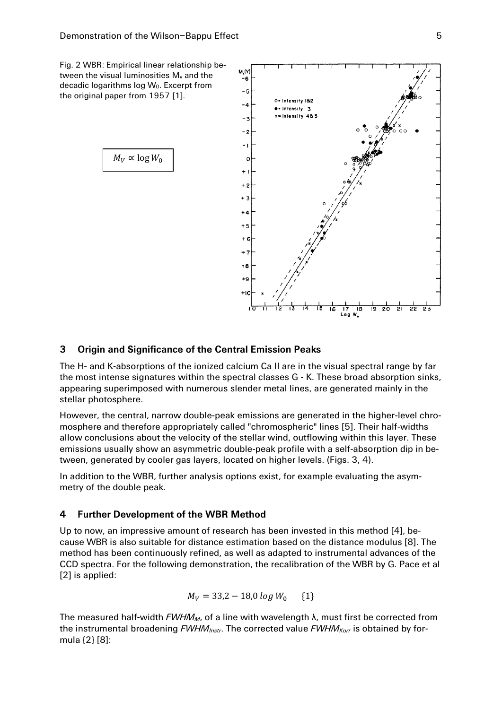Fig. 2 WBR: Empirical linear relationship between the visual luminosities  $M_v$  and the decadic logarithms log Wo. Excerpt from the original paper from 1957 [1].



M.W -6

#### **3 Origin and Significance of the Central Emission Peaks**

The H- and K-absorptions of the ionized calcium Ca II are in the visual spectral range by far the most intense signatures within the spectral classes G - K. These broad absorption sinks, appearing superimposed with numerous slender metal lines, are generated mainly in the stellar photosphere.

However, the central, narrow double-peak emissions are generated in the higher-level chromosphere and therefore appropriately called "chromospheric" lines [5]. Their half-widths allow conclusions about the velocity of the stellar wind, outflowing within this layer. These emissions usually show an asymmetric double-peak profile with a self-absorption dip in between, generated by cooler gas layers, located on higher levels. (Figs. 3, 4).

In addition to the WBR, further analysis options exist, for example evaluating the asymmetry of the double peak.

#### **4 Further Development of the WBR Method**

Up to now, an impressive amount of research has been invested in this method [4], because WBR is also suitable for distance estimation based on the distance modulus [8]. The method has been continuously refined, as well as adapted to instrumental advances of the CCD spectra. For the following demonstration, the recalibration of the WBR by G. Pace et al [2] is applied:

$$
M_V = 33.2 - 18.0 \log W_0 \quad \{1\}
$$

The measured half-width *FWHMM*, of a line with wavelength λ, must first be corrected from the instrumental broadening *FWHMInstr*. The corrected value *FWHMKorr* is obtained by formula {2} [8]: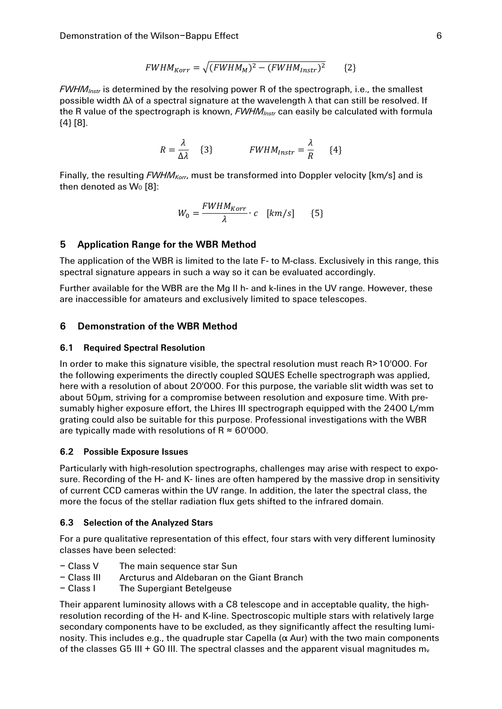$$
FWHM_{Korr} = \sqrt{(FWHM_M)^2 - (FWHM_{Instr})^2}
$$
 (2)

*FWHMInstr* is determined by the resolving power R of the spectrograph, i.e., the smallest possible width Δλ of a spectral signature at the wavelength λ that can still be resolved. If the R value of the spectrograph is known, *FWHMInstr* can easily be calculated with formula {4} [8].

$$
R = \frac{\lambda}{\Delta \lambda} \quad \{3\} \qquad FWHM_{Instr} = \frac{\lambda}{R} \quad \{4\}
$$

Finally, the resulting *FWHMKorr*, must be transformed into Doppler velocity [km/s] and is then denoted as  $W_0$  [8]:

$$
W_0 = \frac{FWHM_{Korr}}{\lambda} \cdot c \quad [km/s] \qquad \{5\}
$$

## **5 Application Range for the WBR Method**

The application of the WBR is limited to the late F- to M-class. Exclusively in this range, this spectral signature appears in such a way so it can be evaluated accordingly.

Further available for the WBR are the Mg II h- and k-lines in the UV range. However, these are inaccessible for amateurs and exclusively limited to space telescopes.

#### **6 Demonstration of the WBR Method**

#### **6.1 Required Spectral Resolution**

In order to make this signature visible, the spectral resolution must reach R>10'000. For the following experiments the directly coupled SQUES Echelle spectrograph was applied, here with a resolution of about 20'000. For this purpose, the variable slit width was set to about 50μm, striving for a compromise between resolution and exposure time. With presumably higher exposure effort, the Lhires III spectrograph equipped with the 2400 L/mm grating could also be suitable for this purpose. Professional investigations with the WBR are typically made with resolutions of  $R \approx 60'000$ .

#### **6.2 Possible Exposure Issues**

Particularly with high-resolution spectrographs, challenges may arise with respect to exposure. Recording of the H- and K- lines are often hampered by the massive drop in sensitivity of current CCD cameras within the UV range. In addition, the later the spectral class, the more the focus of the stellar radiation flux gets shifted to the infrared domain.

#### **6.3 Selection of the Analyzed Stars**

For a pure qualitative representation of this effect, four stars with very different luminosity classes have been selected:

- Class V The main sequence star Sun
- Class III Arcturus and Aldebaran on the Giant Branch
- Class I The Supergiant Betelgeuse

Their apparent luminosity allows with a C8 telescope and in acceptable quality, the highresolution recording of the H- and K-line. Spectroscopic multiple stars with relatively large secondary components have to be excluded, as they significantly affect the resulting luminosity. This includes e.g., the quadruple star Capella ( $\alpha$  Aur) with the two main components of the classes G5 III + G0 III. The spectral classes and the apparent visual magnitudes  $m_v$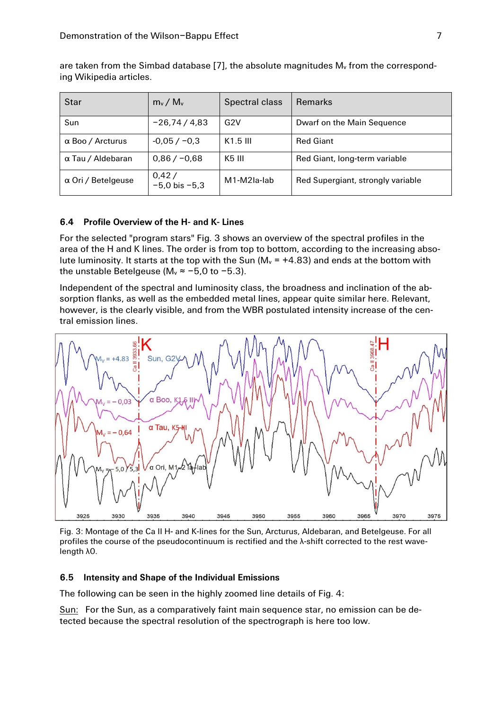are taken from the Simbad database  $[7]$ , the absolute magnitudes  $M_v$  from the corresponding Wikipedia articles.

| <b>Star</b>             | $m_v / M_v$                | Spectral class | <b>Remarks</b>                    |
|-------------------------|----------------------------|----------------|-----------------------------------|
| Sun                     | $-26,74/4,83$              | G2V            | Dwarf on the Main Sequence        |
| $\alpha$ Boo / Arcturus | $-0.05 / -0.3$             | $K1.5$ III     | <b>Red Giant</b>                  |
| α Tau / Aldebaran       | $0,86 / -0,68$             | K5 III         | Red Giant, long-term variable     |
| α Ori / Betelgeuse      | 0,42/<br>$-5.0$ bis $-5.3$ | M1-M2Ia-lab    | Red Supergiant, strongly variable |

#### **6.4 Profile Overview of the H- and K- Lines**

For the selected "program stars" Fig. 3 shows an overview of the spectral profiles in the area of the H and K lines. The order is from top to bottom, according to the increasing absolute luminosity. It starts at the top with the Sun ( $M_v$  = +4.83) and ends at the bottom with the unstable Betelgeuse ( $M_v \approx -5.0$  to  $-5.3$ ).

Independent of the spectral and luminosity class, the broadness and inclination of the absorption flanks, as well as the embedded metal lines, appear quite similar here. Relevant, however, is the clearly visible, and from the WBR postulated intensity increase of the central emission lines.



Fig. 3: Montage of the Ca II H- and K-lines for the Sun, Arcturus, Aldebaran, and Betelgeuse. For all profiles the course of the pseudocontinuum is rectified and the λ-shift corrected to the rest wavelength λ0.

#### **6.5 Intensity and Shape of the Individual Emissions**

The following can be seen in the highly zoomed line details of Fig. 4:

Sun: For the Sun, as a comparatively faint main sequence star, no emission can be detected because the spectral resolution of the spectrograph is here too low.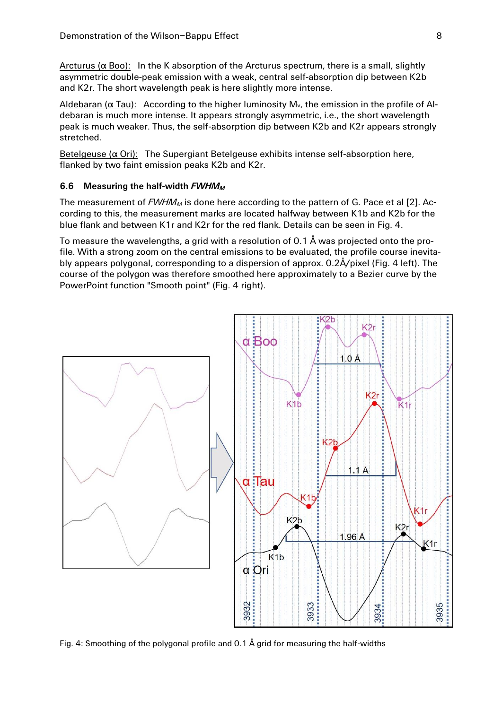Arcturus ( $\alpha$  Boo): In the K absorption of the Arcturus spectrum, there is a small, slightly asymmetric double-peak emission with a weak, central self-absorption dip between K2b and K2r. The short wavelength peak is here slightly more intense.

Aldebaran ( $\alpha$  Tau): According to the higher luminosity M<sub>v</sub>, the emission in the profile of Aldebaran is much more intense. It appears strongly asymmetric, i.e., the short wavelength peak is much weaker. Thus, the self-absorption dip between K2b and K2r appears strongly stretched.

Betelgeuse ( $\alpha$  Ori): The Supergiant Betelgeuse exhibits intense self-absorption here, flanked by two faint emission peaks K2b and K2r.

#### **6.6 Measuring the half-width** *FWHM<sup>M</sup>*

The measurement of *FWHM<sup>M</sup>* is done here according to the pattern of G. Pace et al [2]. According to this, the measurement marks are located halfway between K1b and K2b for the blue flank and between K1r and K2r for the red flank. Details can be seen in Fig. 4.

To measure the wavelengths, a grid with a resolution of 0.1 Å was projected onto the profile. With a strong zoom on the central emissions to be evaluated, the profile course inevitably appears polygonal, corresponding to a dispersion of approx. 0.2Å/pixel (Fig. 4 left). The course of the polygon was therefore smoothed here approximately to a Bezier curve by the PowerPoint function "Smooth point" (Fig. 4 right).



Fig. 4: Smoothing of the polygonal profile and 0.1 Å grid for measuring the half-widths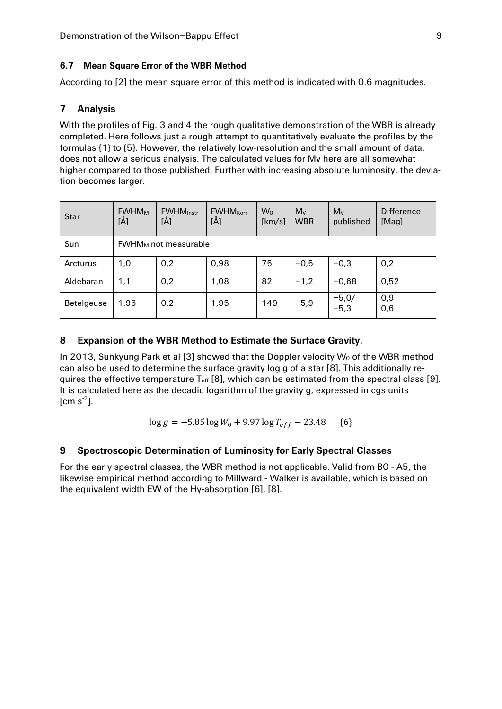# **6.7 Mean Square Error of the WBR Method**

According to [2] the mean square error of this method is indicated with 0.6 magnitudes.

# **7 Analysis**

With the profiles of Fig. 3 and 4 the rough qualitative demonstration of the WBR is already completed. Here follows just a rough attempt to quantitatively evaluate the profiles by the formulas {1} to {5}. However, the relatively low-resolution and the small amount of data, does not allow a serious analysis. The calculated values for Mv here are all somewhat higher compared to those published. Further with increasing absolute luminosity, the deviation becomes larger.

| <b>Star</b> | <b>FWHMM</b><br>[Å]         | <b>FWHM</b> Instr<br>[Å] | <b>FWHM</b> <sub>Korr</sub><br>[Å] | W <sub>0</sub><br>[km/s] | Mv<br><b>WBR</b> | Mv<br>published   | <b>Difference</b><br>[Mag] |  |
|-------------|-----------------------------|--------------------------|------------------------------------|--------------------------|------------------|-------------------|----------------------------|--|
| Sun         | <b>FWHMM</b> not measurable |                          |                                    |                          |                  |                   |                            |  |
| Arcturus    | 1,0                         | 0,2                      | 0,98                               | 75                       | $-0,5$           | $-0,3$            | 0,2                        |  |
| Aldebaran   | 1,1                         | 0,2                      | 1,08                               | 82                       | $-1,2$           | $-0,68$           | 0,52                       |  |
| Betelgeuse  | 1.96                        | 0,2                      | 1,95                               | 149                      | $-5,9$           | $-5,0/$<br>$-5,3$ | 0,9<br>0,6                 |  |

# **8 Expansion of the WBR Method to Estimate the Surface Gravity.**

In 2013, Sunkyung Park et al [3] showed that the Doppler velocity  $W_0$  of the WBR method can also be used to determine the surface gravity log g of a star [8]. This additionally requires the effective temperature T<sub>eff</sub> [8], which can be estimated from the spectral class [9]. It is calculated here as the decadic logarithm of the gravity g, expressed in cgs units  $[cm s<sup>-2</sup>].$ 

$$
\log g = -5.85 \log W_0 + 9.97 \log T_{eff} - 23.48 \quad \{6\}
$$

# **9 Spectroscopic Determination of Luminosity for Early Spectral Classes**

For the early spectral classes, the WBR method is not applicable. Valid from B0 - A5, the likewise empirical method according to Millward - Walker is available, which is based on the equivalent width EW of the Hγ-absorption [6], [8].